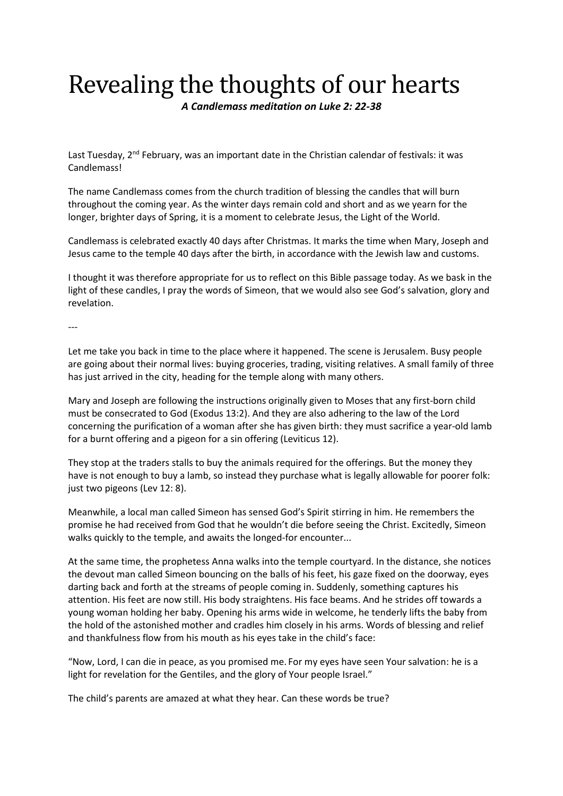## Revealing the thoughts of our hearts

*A Candlemass meditation on Luke 2: 22-38*

Last Tuesday, 2<sup>nd</sup> February, was an important date in the Christian calendar of festivals: it was Candlemass!

The name Candlemass comes from the church tradition of blessing the candles that will burn throughout the coming year. As the winter days remain cold and short and as we yearn for the longer, brighter days of Spring, it is a moment to celebrate Jesus, the Light of the World.

Candlemass is celebrated exactly 40 days after Christmas. It marks the time when Mary, Joseph and Jesus came to the temple 40 days after the birth, in accordance with the Jewish law and customs.

I thought it was therefore appropriate for us to reflect on this Bible passage today. As we bask in the light of these candles, I pray the words of Simeon, that we would also see God's salvation, glory and revelation.

---

Let me take you back in time to the place where it happened. The scene is Jerusalem. Busy people are going about their normal lives: buying groceries, trading, visiting relatives. A small family of three has just arrived in the city, heading for the temple along with many others.

Mary and Joseph are following the instructions originally given to Moses that any first-born child must be consecrated to God (Exodus 13:2). And they are also adhering to the law of the Lord concerning the purification of a woman after she has given birth: they must sacrifice a year-old lamb for a burnt offering and a pigeon for a sin offering (Leviticus 12).

They stop at the traders stalls to buy the animals required for the offerings. But the money they have is not enough to buy a lamb, so instead they purchase what is legally allowable for poorer folk: just two pigeons (Lev 12: 8).

Meanwhile, a local man called Simeon has sensed God's Spirit stirring in him. He remembers the promise he had received from God that he wouldn't die before seeing the Christ. Excitedly, Simeon walks quickly to the temple, and awaits the longed-for encounter...

At the same time, the prophetess Anna walks into the temple courtyard. In the distance, she notices the devout man called Simeon bouncing on the balls of his feet, his gaze fixed on the doorway, eyes darting back and forth at the streams of people coming in. Suddenly, something captures his attention. His feet are now still. His body straightens. His face beams. And he strides off towards a young woman holding her baby. Opening his arms wide in welcome, he tenderly lifts the baby from the hold of the astonished mother and cradles him closely in his arms. Words of blessing and relief and thankfulness flow from his mouth as his eyes take in the child's face:

"Now, Lord, I can die in peace, as you promised me. For my eyes have seen Your salvation: he is a light for revelation for the Gentiles, and the glory of Your people Israel."

The child's parents are amazed at what they hear. Can these words be true?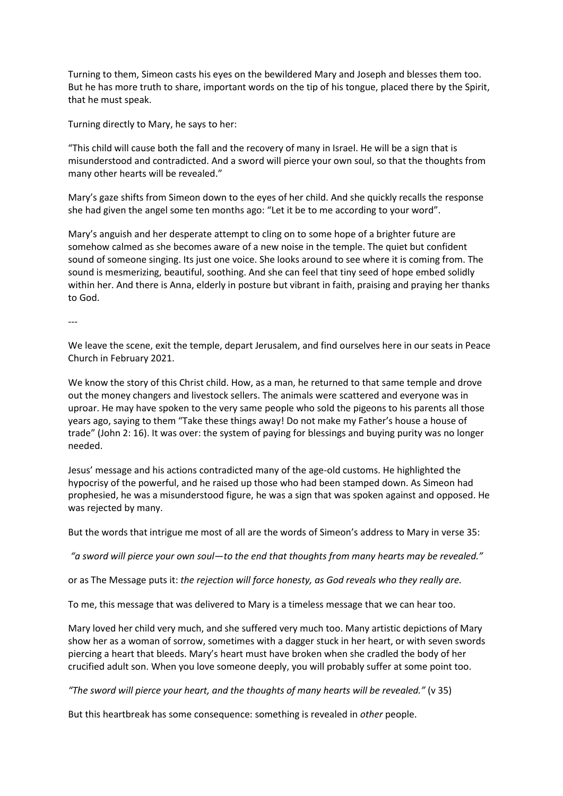Turning to them, Simeon casts his eyes on the bewildered Mary and Joseph and blesses them too. But he has more truth to share, important words on the tip of his tongue, placed there by the Spirit, that he must speak.

Turning directly to Mary, he says to her:

"This child will cause both the fall and the recovery of many in Israel. He will be a sign that is misunderstood and contradicted. And a sword will pierce your own soul, so that the thoughts from many other hearts will be revealed."

Mary's gaze shifts from Simeon down to the eyes of her child. And she quickly recalls the response she had given the angel some ten months ago: "Let it be to me according to your word".

Mary's anguish and her desperate attempt to cling on to some hope of a brighter future are somehow calmed as she becomes aware of a new noise in the temple. The quiet but confident sound of someone singing. Its just one voice. She looks around to see where it is coming from. The sound is mesmerizing, beautiful, soothing. And she can feel that tiny seed of hope embed solidly within her. And there is Anna, elderly in posture but vibrant in faith, praising and praying her thanks to God.

---

We leave the scene, exit the temple, depart Jerusalem, and find ourselves here in our seats in Peace Church in February 2021.

We know the story of this Christ child. How, as a man, he returned to that same temple and drove out the money changers and livestock sellers. The animals were scattered and everyone was in uproar. He may have spoken to the very same people who sold the pigeons to his parents all those years ago, saying to them "Take these things away! Do not make my Father's house a house of trade" (John 2: 16). It was over: the system of paying for blessings and buying purity was no longer needed.

Jesus' message and his actions contradicted many of the age-old customs. He highlighted the hypocrisy of the powerful, and he raised up those who had been stamped down. As Simeon had prophesied, he was a misunderstood figure, he was a sign that was spoken against and opposed. He was rejected by many.

But the words that intrigue me most of all are the words of Simeon's address to Mary in verse 35:

*"a sword will pierce your own soul—to the end that thoughts from many hearts may be revealed."*

or as The Message puts it: *the rejection will force honesty, as God reveals who they really are.*

To me, this message that was delivered to Mary is a timeless message that we can hear too.

Mary loved her child very much, and she suffered very much too. Many artistic depictions of Mary show her as a woman of sorrow, sometimes with a dagger stuck in her heart, or with seven swords piercing a heart that bleeds. Mary's heart must have broken when she cradled the body of her crucified adult son. When you love someone deeply, you will probably suffer at some point too.

*"The sword will pierce your heart, and the thoughts of many hearts will be revealed."* (v 35)

But this heartbreak has some consequence: something is revealed in *other* people.